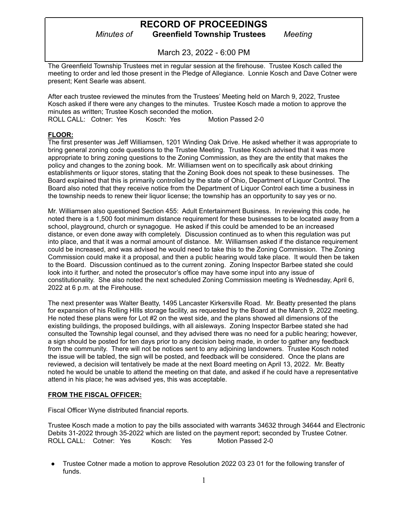March 23, 2022 - 6:00 PM

The Greenfield Township Trustees met in regular session at the firehouse. Trustee Kosch called the meeting to order and led those present in the Pledge of Allegiance. Lonnie Kosch and Dave Cotner were present; Kent Searle was absent.

After each trustee reviewed the minutes from the Trustees' Meeting held on March 9, 2022, Trustee Kosch asked if there were any changes to the minutes. Trustee Kosch made a motion to approve the minutes as written; Trustee Kosch seconded the motion. ROLL CALL: Cotner: Yes Kosch: Yes Motion Passed 2-0

#### **FLOOR:**

The first presenter was Jeff Williamsen, 1201 Winding Oak Drive. He asked whether it was appropriate to bring general zoning code questions to the Trustee Meeting. Trustee Kosch advised that it was more appropriate to bring zoning questions to the Zoning Commission, as they are the entity that makes the policy and changes to the zoning book. Mr. Williamsen went on to specifically ask about drinking establishments or liquor stores, stating that the Zoning Book does not speak to these businesses. The Board explained that this is primarily controlled by the state of Ohio, Department of Liquor Control. The Board also noted that they receive notice from the Department of Liquor Control each time a business in the township needs to renew their liquor license; the township has an opportunity to say yes or no.

Mr. Williamsen also questioned Section 455: Adult Entertainment Business. In reviewing this code, he noted there is a 1,500 foot minimum distance requirement for these businesses to be located away from a school, playground, church or synagogue. He asked if this could be amended to be an increased distance, or even done away with completely. Discussion continued as to when this regulation was put into place, and that it was a normal amount of distance. Mr. Williamsen asked if the distance requirement could be increased, and was advised he would need to take this to the Zoning Commission. The Zoning Commission could make it a proposal, and then a public hearing would take place. It would then be taken to the Board. Discussion continued as to the current zoning. Zoning Inspector Barbee stated she could look into it further, and noted the prosecutor's office may have some input into any issue of constitutionality. She also noted the next scheduled Zoning Commission meeting is Wednesday, April 6, 2022 at 6 p.m. at the Firehouse.

The next presenter was Walter Beatty, 1495 Lancaster Kirkersville Road. Mr. Beatty presented the plans for expansion of his Rolling HIlls storage facility, as requested by the Board at the March 9, 2022 meeting. He noted these plans were for Lot #2 on the west side, and the plans showed all dimensions of the existing buildings, the proposed buildings, with all aisleways. Zoning Inspector Barbee stated she had consulted the Township legal counsel, and they advised there was no need for a public hearing; however, a sign should be posted for ten days prior to any decision being made, in order to gather any feedback from the community. There will not be notices sent to any adjoining landowners. Trustee Kosch noted the issue will be tabled, the sign will be posted, and feedback will be considered. Once the plans are reviewed, a decision will tentatively be made at the next Board meeting on April 13, 2022. Mr. Beatty noted he would be unable to attend the meeting on that date, and asked if he could have a representative attend in his place; he was advised yes, this was acceptable.

#### **FROM THE FISCAL OFFICER:**

Fiscal Officer Wyne distributed financial reports.

Trustee Kosch made a motion to pay the bills associated with warrants 34632 through 34644 and Electronic Debits 31-2022 through 35-2022 which are listed on the payment report; seconded by Trustee Cotner. ROLL CALL: Cotner: Yes Kosch: Yes Motion Passed 2-0

Trustee Cotner made a motion to approve Resolution 2022 03 23 01 for the following transfer of funds.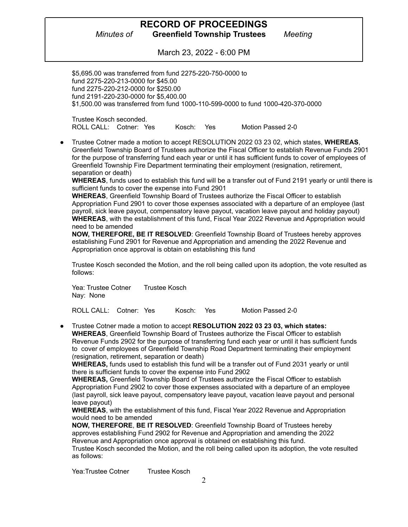March 23, 2022 - 6:00 PM

\$5,695.00 was transferred from fund 2275-220-750-0000 to fund 2275-220-213-0000 for \$45.00 fund 2275-220-212-0000 for \$250.00 fund 2191-220-230-0000 for \$5,400.00 \$1,500.00 was transferred from fund 1000-110-599-0000 to fund 1000-420-370-0000

Trustee Kosch seconded. ROLL CALL: Cotner: Yes Kosch: Yes Motion Passed 2-0

● Trustee Cotner made a motion to accept RESOLUTION 2022 03 23 02, which states, **WHEREAS**, Greenfield Township Board of Trustees authorize the Fiscal Officer to establish Revenue Funds 2901 for the purpose of transferring fund each year or until it has sufficient funds to cover of employees of Greenfield Township Fire Department terminating their employment (resignation, retirement, separation or death)

**WHEREAS**, funds used to establish this fund will be a transfer out of Fund 2191 yearly or until there is sufficient funds to cover the expense into Fund 2901

**WHEREAS**, Greenfield Township Board of Trustees authorize the Fiscal Officer to establish Appropriation Fund 2901 to cover those expenses associated with a departure of an employee (last payroll, sick leave payout, compensatory leave payout, vacation leave payout and holiday payout) **WHEREAS**, with the establishment of this fund, Fiscal Year 2022 Revenue and Appropriation would need to be amended

**NOW, THEREFORE, BE IT RESOLVED**: Greenfield Township Board of Trustees hereby approves establishing Fund 2901 for Revenue and Appropriation and amending the 2022 Revenue and Appropriation once approval is obtain on establishing this fund

Trustee Kosch seconded the Motion, and the roll being called upon its adoption, the vote resulted as follows:

Yea: Trustee Cotner Trustee Kosch Nay: None

ROLL CALL: Cotner: Yes Kosch: Yes Motion Passed 2-0

● Trustee Cotner made a motion to accept **RESOLUTION 2022 03 23 03, which states: WHEREAS**, Greenfield Township Board of Trustees authorize the Fiscal Officer to establish Revenue Funds 2902 for the purpose of transferring fund each year or until it has sufficient funds to cover of employees of Greenfield Township Road Department terminating their employment (resignation, retirement, separation or death)

**WHEREAS,** funds used to establish this fund will be a transfer out of Fund 2031 yearly or until there is sufficient funds to cover the expense into Fund 2902

**WHEREAS,** Greenfield Township Board of Trustees authorize the Fiscal Officer to establish Appropriation Fund 2902 to cover those expenses associated with a departure of an employee (last payroll, sick leave payout, compensatory leave payout, vacation leave payout and personal leave payout)

**WHEREAS**, with the establishment of this fund, Fiscal Year 2022 Revenue and Appropriation would need to be amended

**NOW, THEREFORE**, **BE IT RESOLVED**: Greenfield Township Board of Trustees hereby approves establishing Fund 2902 for Revenue and Appropriation and amending the 2022 Revenue and Appropriation once approval is obtained on establishing this fund.

Trustee Kosch seconded the Motion, and the roll being called upon its adoption, the vote resulted as follows:

Yea:Trustee Cotner Trustee Kosch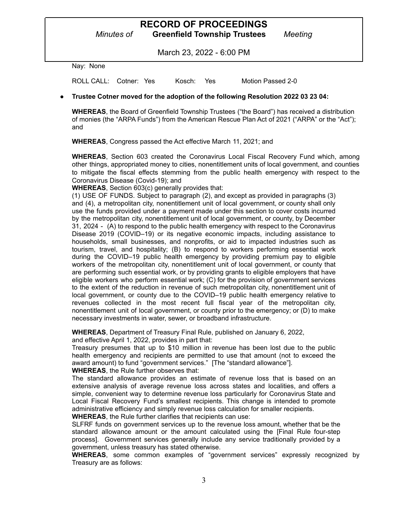# **RECORD OF PROCEEDINGS**

*Minutes of* **Greenfield Township Trustees** *Meeting*

March 23, 2022 - 6:00 PM

Nay: None

ROLL CALL: Cotner: Yes Kosch: Yes Motion Passed 2-0

#### **● Trustee Cotner moved for the adoption of the following Resolution 2022 03 23 04:**

**WHEREAS**, the Board of Greenfield Township Trustees ("the Board") has received a distribution of monies (the "ARPA Funds") from the American Rescue Plan Act of 2021 ("ARPA" or the "Act"); and

**WHEREAS**, Congress passed the Act effective March 11, 2021; and

**WHEREAS**, Section 603 created the Coronavirus Local Fiscal Recovery Fund which, among other things, appropriated money to cities, nonentitlement units of local government, and counties to mitigate the fiscal effects stemming from the public health emergency with respect to the Coronavirus Disease (Covid-19); and

**WHEREAS**, Section 603(c) generally provides that:

(1) USE OF FUNDS. Subject to paragraph (2), and except as provided in paragraphs (3) and (4), a metropolitan city, nonentitlement unit of local government, or county shall only use the funds provided under a payment made under this section to cover costs incurred by the metropolitan city, nonentitlement unit of local government, or county, by December 31, 2024 - (A) to respond to the public health emergency with respect to the Coronavirus Disease 2019 (COVID–19) or its negative economic impacts, including assistance to households, small businesses, and nonprofits, or aid to impacted industries such as tourism, travel, and hospitality; (B) to respond to workers performing essential work during the COVID–19 public health emergency by providing premium pay to eligible workers of the metropolitan city, nonentitlement unit of local government, or county that are performing such essential work, or by providing grants to eligible employers that have eligible workers who perform essential work; (C) for the provision of government services to the extent of the reduction in revenue of such metropolitan city, nonentitlement unit of local government, or county due to the COVID–19 public health emergency relative to revenues collected in the most recent full fiscal year of the metropolitan city, nonentitlement unit of local government, or county prior to the emergency; or (D) to make necessary investments in water, sewer, or broadband infrastructure.

**WHEREAS**, Department of Treasury Final Rule, published on January 6, 2022,

and effective April 1, 2022, provides in part that:

Treasury presumes that up to \$10 million in revenue has been lost due to the public health emergency and recipients are permitted to use that amount (not to exceed the award amount) to fund "government services." [The "standard allowance"]. **WHEREAS**, the Rule further observes that:

The standard allowance provides an estimate of revenue loss that is based on an extensive analysis of average revenue loss across states and localities, and offers a simple, convenient way to determine revenue loss particularly for Coronavirus State and Local Fiscal Recovery Fund's smallest recipients. This change is intended to promote administrative efficiency and simply revenue loss calculation for smaller recipients.

**WHEREAS**, the Rule further clarifies that recipients can use:

SLFRF funds on government services up to the revenue loss amount, whether that be the standard allowance amount or the amount calculated using the [Final Rule four-step process]. Government services generally include any service traditionally provided by a government, unless treasury has stated otherwise.

**WHEREAS**, some common examples of "government services" expressly recognized by Treasury are as follows: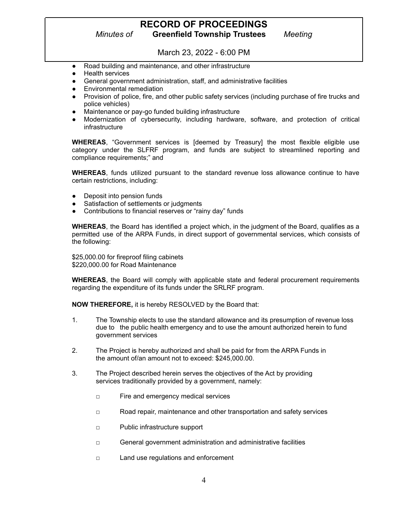## **RECORD OF PROCEEDINGS**

*Minutes of* **Greenfield Township Trustees** *Meeting*

March 23, 2022 - 6:00 PM

- Road building and maintenance, and other infrastructure
- **Health services**
- General government administration, staff, and administrative facilities
- Environmental remediation
- Provision of police, fire, and other public safety services (including purchase of fire trucks and police vehicles)
- Maintenance or pay-go funded building infrastructure
- Modernization of cybersecurity, including hardware, software, and protection of critical infrastructure

**WHEREAS**, "Government services is [deemed by Treasury] the most flexible eligible use category under the SLFRF program, and funds are subject to streamlined reporting and compliance requirements;" and

**WHEREAS**, funds utilized pursuant to the standard revenue loss allowance continue to have certain restrictions, including:

- Deposit into pension funds
- Satisfaction of settlements or judgments
- Contributions to financial reserves or "rainy day" funds

**WHEREAS**, the Board has identified a project which, in the judgment of the Board, qualifies as a permitted use of the ARPA Funds, in direct support of governmental services, which consists of the following:

\$25,000.00 for fireproof filing cabinets \$220,000.00 for Road Maintenance

**WHEREAS**, the Board will comply with applicable state and federal procurement requirements regarding the expenditure of its funds under the SRLRF program.

**NOW THEREFORE,** it is hereby RESOLVED by the Board that:

- 1. The Township elects to use the standard allowance and its presumption of revenue loss due to the public health emergency and to use the amount authorized herein to fund government services
- 2. The Project is hereby authorized and shall be paid for from the ARPA Funds in the amount of/an amount not to exceed: \$245,000.00.
- 3. The Project described herein serves the objectives of the Act by providing services traditionally provided by a government, namely:
	- □ Fire and emergency medical services
	- □ Road repair, maintenance and other transportation and safety services
	- □ Public infrastructure support
	- □ General government administration and administrative facilities
	- □ Land use regulations and enforcement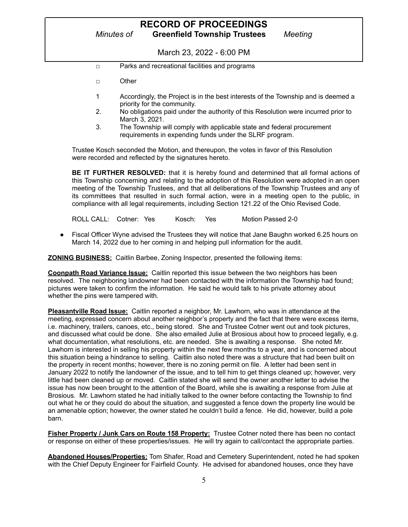March 23, 2022 - 6:00 PM

- □ Parks and recreational facilities and programs
- □ Other
- 1 Accordingly, the Project is in the best interests of the Township and is deemed a priority for the community.
- 2. No obligations paid under the authority of this Resolution were incurred prior to March 3, 2021.
- 3. The Township will comply with applicable state and federal procurement requirements in expending funds under the SLRF program.

Trustee Kosch seconded the Motion, and thereupon, the votes in favor of this Resolution were recorded and reflected by the signatures hereto.

**BE IT FURTHER RESOLVED:** that it is hereby found and determined that all formal actions of this Township concerning and relating to the adoption of this Resolution were adopted in an open meeting of the Township Trustees, and that all deliberations of the Township Trustees and any of its committees that resulted in such formal action, were in a meeting open to the public, in compliance with all legal requirements, including Section 121.22 of the Ohio Revised Code.

ROLL CALL: Cotner: Yes Kosch: Yes Motion Passed 2-0

Fiscal Officer Wyne advised the Trustees they will notice that Jane Baughn worked 6.25 hours on March 14, 2022 due to her coming in and helping pull information for the audit.

**ZONING BUSINESS:** Caitlin Barbee, Zoning Inspector, presented the following items:

**Coonpath Road Variance Issue:** Caitlin reported this issue between the two neighbors has been resolved. The neighboring landowner had been contacted with the information the Township had found; pictures were taken to confirm the information. He said he would talk to his private attorney about whether the pins were tampered with.

**Pleasantville Road Issue:** Caitlin reported a neighbor, Mr. Lawhorn, who was in attendance at the meeting, expressed concern about another neighbor's property and the fact that there were excess items, i.e. machinery, trailers, canoes, etc., being stored. She and Trustee Cotner went out and took pictures, and discussed what could be done. She also emailed Julie at Brosious about how to proceed legally, e.g. what documentation, what resolutions, etc. are needed. She is awaiting a response. She noted Mr. Lawhorn is interested in selling his property within the next few months to a year, and is concerned about this situation being a hindrance to selling. Caitlin also noted there was a structure that had been built on the property in recent months; however, there is no zoning permit on file. A letter had been sent in January 2022 to notify the landowner of the issue, and to tell him to get things cleaned up; however, very little had been cleaned up or moved. Caitlin stated she will send the owner another letter to advise the issue has now been brought to the attention of the Board, while she is awaiting a response from Julie at Brosious. Mr. Lawhorn stated he had initially talked to the owner before contacting the Township to find out what he or they could do about the situation, and suggested a fence down the property line would be an amenable option; however, the owner stated he couldn't build a fence. He did, however, build a pole barn.

**Fisher Property / Junk Cars on Route 158 Property:** Trustee Cotner noted there has been no contact or response on either of these properties/issues. He will try again to call/contact the appropriate parties.

**Abandoned Houses/Properties:** Tom Shafer, Road and Cemetery Superintendent, noted he had spoken with the Chief Deputy Engineer for Fairfield County. He advised for abandoned houses, once they have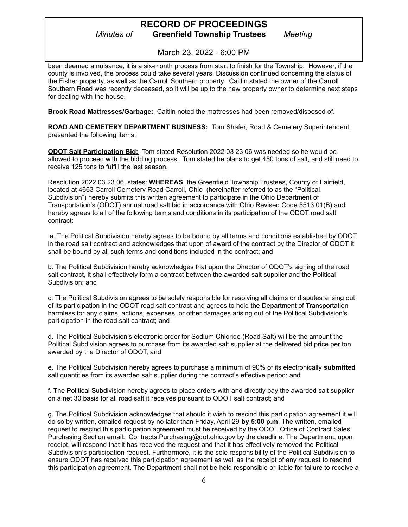March 23, 2022 - 6:00 PM

been deemed a nuisance, it is a six-month process from start to finish for the Township. However, if the county is involved, the process could take several years. Discussion continued concerning the status of the Fisher property, as well as the Carroll Southern property. Caitlin stated the owner of the Carroll Southern Road was recently deceased, so it will be up to the new property owner to determine next steps for dealing with the house.

**Brook Road Mattresses/Garbage:** Caitlin noted the mattresses had been removed/disposed of.

**ROAD AND CEMETERY DEPARTMENT BUSINESS:** Tom Shafer, Road & Cemetery Superintendent, presented the following items:

**ODOT Salt Participation Bid:** Tom stated Resolution 2022 03 23 06 was needed so he would be allowed to proceed with the bidding process. Tom stated he plans to get 450 tons of salt, and still need to receive 125 tons to fulfill the last season.

Resolution 2022 03 23 06, states: **WHEREAS**, the Greenfield Township Trustees, County of Fairfield, located at 4663 Carroll Cemetery Road Carroll, Ohio (hereinafter referred to as the "Political Subdivision") hereby submits this written agreement to participate in the Ohio Department of Transportation's (ODOT) annual road salt bid in accordance with Ohio Revised Code 5513.01(B) and hereby agrees to all of the following terms and conditions in its participation of the ODOT road salt contract:

a. The Political Subdivision hereby agrees to be bound by all terms and conditions established by ODOT in the road salt contract and acknowledges that upon of award of the contract by the Director of ODOT it shall be bound by all such terms and conditions included in the contract; and

b. The Political Subdivision hereby acknowledges that upon the Director of ODOT's signing of the road salt contract, it shall effectively form a contract between the awarded salt supplier and the Political Subdivision; and

c. The Political Subdivision agrees to be solely responsible for resolving all claims or disputes arising out of its participation in the ODOT road salt contract and agrees to hold the Department of Transportation harmless for any claims, actions, expenses, or other damages arising out of the Political Subdivision's participation in the road salt contract; and

d. The Political Subdivision's electronic order for Sodium Chloride (Road Salt) will be the amount the Political Subdivision agrees to purchase from its awarded salt supplier at the delivered bid price per ton awarded by the Director of ODOT; and

e. The Political Subdivision hereby agrees to purchase a minimum of 90% of its electronically **submitted** salt quantities from its awarded salt supplier during the contract's effective period; and

f. The Political Subdivision hereby agrees to place orders with and directly pay the awarded salt supplier on a net 30 basis for all road salt it receives pursuant to ODOT salt contract; and

g. The Political Subdivision acknowledges that should it wish to rescind this participation agreement it will do so by written, emailed request by no later than Friday, April 29 **by 5:00 p.m**. The written, emailed request to rescind this participation agreement must be received by the ODOT Office of Contract Sales, Purchasing Section email: Contracts.Purchasing@dot.ohio.gov by the deadline. The Department, upon receipt, will respond that it has received the request and that it has effectively removed the Political Subdivision's participation request. Furthermore, it is the sole responsibility of the Political Subdivision to ensure ODOT has received this participation agreement as well as the receipt of any request to rescind this participation agreement. The Department shall not be held responsible or liable for failure to receive a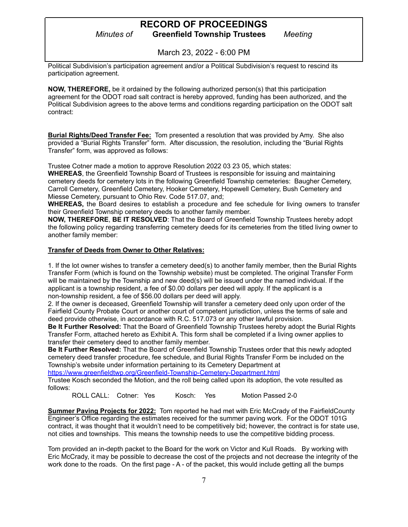March 23, 2022 - 6:00 PM

Political Subdivision's participation agreement and/or a Political Subdivision's request to rescind its participation agreement.

**NOW, THEREFORE,** be it ordained by the following authorized person(s) that this participation agreement for the ODOT road salt contract is hereby approved, funding has been authorized, and the Political Subdivision agrees to the above terms and conditions regarding participation on the ODOT salt contract:

**Burial Rights/Deed Transfer Fee:** Tom presented a resolution that was provided by Amy. She also provided a "Burial Rights Transfer" form. After discussion, the resolution, including the "Burial Rights Transfer" form, was approved as follows:

Trustee Cotner made a motion to approve Resolution 2022 03 23 05, which states:

**WHEREAS**, the Greenfield Township Board of Trustees is responsible for issuing and maintaining cemetery deeds for cemetery lots in the following Greenfield Township cemeteries: Baugher Cemetery, Carroll Cemetery, Greenfield Cemetery, Hooker Cemetery, Hopewell Cemetery, Bush Cemetery and Miesse Cemetery, pursuant to Ohio Rev. Code 517.07, and;

**WHEREAS,** the Board desires to establish a procedure and fee schedule for living owners to transfer their Greenfield Township cemetery deeds to another family member.

**NOW, THEREFORE**, **BE IT RESOLVED**: That the Board of Greenfield Township Trustees hereby adopt the following policy regarding transferring cemetery deeds for its cemeteries from the titled living owner to another family member:

#### **Transfer of Deeds from Owner to Other Relatives:**

1. If the lot owner wishes to transfer a cemetery deed(s) to another family member, then the Burial Rights Transfer Form (which is found on the Township website) must be completed. The original Transfer Form will be maintained by the Township and new deed(s) will be issued under the named individual. If the applicant is a township resident, a fee of \$0.00 dollars per deed will apply. If the applicant is a non-township resident, a fee of \$56.00 dollars per deed will apply.

2. If the owner is deceased, Greenfield Township will transfer a cemetery deed only upon order of the Fairfield County Probate Court or another court of competent jurisdiction, unless the terms of sale and deed provide otherwise, in accordance with R.C. 517.073 or any other lawful provision.

**Be It Further Resolved:** That the Board of Greenfield Township Trustees hereby adopt the Burial Rights Transfer Form, attached hereto as Exhibit A. This form shall be completed if a living owner applies to transfer their cemetery deed to another family member.

**Be It Further Resolved:** That the Board of Greenfield Township Trustees order that this newly adopted cemetery deed transfer procedure, fee schedule, and Burial Rights Transfer Form be included on the Township's website under information pertaining to its Cemetery Department at

<https://www.greenfieldtwp.org/Greenfield-Township-Cemetery-Department.html>

Trustee Kosch seconded the Motion, and the roll being called upon its adoption, the vote resulted as follows:

ROLL CALL: Cotner: Yes Kosch: Yes Motion Passed 2-0

**Summer Paving Projects for 2022:** Tom reported he had met with Eric McCrady of the FairfieldCounty Engineer's Office regarding the estimates received for the summer paving work. For the ODOT 101G contract, it was thought that it wouldn't need to be competitively bid; however, the contract is for state use, not cities and townships. This means the township needs to use the competitive bidding process.

Tom provided an in-depth packet to the Board for the work on Victor and Kull Roads. By working with Eric McCrady, it may be possible to decrease the cost of the projects and not decrease the integrity of the work done to the roads. On the first page - A - of the packet, this would include getting all the bumps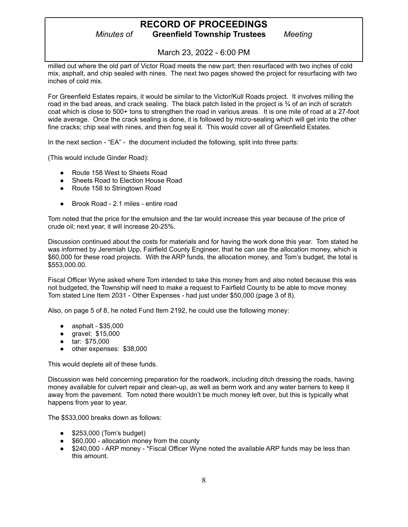March 23, 2022 - 6:00 PM

milled out where the old part of Victor Road meets the new part; then resurfaced with two inches of cold mix, asphalt, and chip sealed with nines. The next two pages showed the project for resurfacing with two inches of cold mix.

For Greenfield Estates repairs, it would be similar to the Victor/Kull Roads project. It involves milling the road in the bad areas, and crack sealing. The black patch listed in the project is ¾ of an inch of scratch coat which is close to 500+ tons to strengthen the road in various areas. It is one mile of road at a 27-foot wide average. Once the crack sealing is done, it is followed by micro-sealing which will get into the other fine cracks; chip seal with nines, and then fog seal it. This would cover all of Greenfield Estates.

In the next section - "EA" - the document included the following, split into three parts:

(This would include Ginder Road):

- Route 158 West to Sheets Road
- Sheets Road to Election House Road
- Route 158 to Stringtown Road
- Brook Road 2.1 miles entire road

Tom noted that the price for the emulsion and the tar would increase this year because of the price of crude oil; next year, it will increase 20-25%.

Discussion continued about the costs for materials and for having the work done this year. Tom stated he was informed by Jeremiah Upp, Fairfield County Engineer, that he can use the allocation money, which is \$60,000 for these road projects. With the ARP funds, the allocation money, and Tom's budget, the total is \$553,000.00.

Fiscal Officer Wyne asked where Tom intended to take this money from and also noted because this was not budgeted, the Township will need to make a request to Fairfield County to be able to move money. Tom stated Line Item 2031 - Other Expenses - had just under \$50,000 (page 3 of 8).

Also, on page 5 of 8, he noted Fund Item 2192, he could use the following money:

- asphalt \$35,000
- gravel: \$15,000
- tar: \$75,000
- other expenses: \$38,000

This would deplete all of these funds.

Discussion was held concerning preparation for the roadwork, including ditch dressing the roads, having money available for culvert repair and clean-up, as well as berm work and any water barriers to keep it away from the pavement. Tom noted there wouldn't be much money left over, but this is typically what happens from year to year.

The \$533,000 breaks down as follows:

- \$253,000 (Tom's budget)
- \$60,000 allocation money from the county
- \$240,000 ARP money \*Fiscal Officer Wyne noted the available ARP funds may be less than this amount.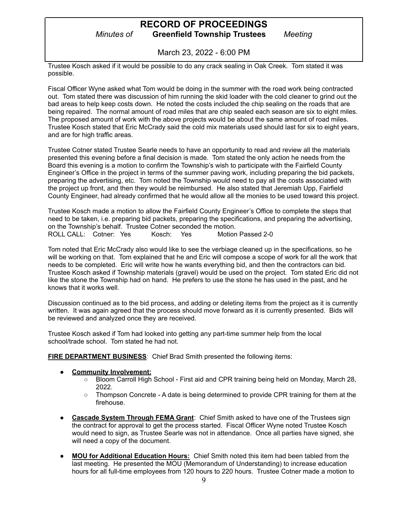March 23, 2022 - 6:00 PM

Trustee Kosch asked if it would be possible to do any crack sealing in Oak Creek. Tom stated it was possible.

Fiscal Officer Wyne asked what Tom would be doing in the summer with the road work being contracted out. Tom stated there was discussion of him running the skid loader with the cold cleaner to grind out the bad areas to help keep costs down. He noted the costs included the chip sealing on the roads that are being repaired. The normal amount of road miles that are chip sealed each season are six to eight miles. The proposed amount of work with the above projects would be about the same amount of road miles. Trustee Kosch stated that Eric McCrady said the cold mix materials used should last for six to eight years, and are for high traffic areas.

Trustee Cotner stated Trustee Searle needs to have an opportunity to read and review all the materials presented this evening before a final decision is made. Tom stated the only action he needs from the Board this evening is a motion to confirm the Township's wish to participate with the Fairfield County Engineer's Office in the project in terms of the summer paving work, including preparing the bid packets, preparing the advertising, etc. Tom noted the Township would need to pay all the costs associated with the project up front, and then they would be reimbursed. He also stated that Jeremiah Upp, Fairfield County Engineer, had already confirmed that he would allow all the monies to be used toward this project.

Trustee Kosch made a motion to allow the Fairfield County Engineer's Office to complete the steps that need to be taken, i.e. preparing bid packets, preparing the specifications, and preparing the advertising, on the Township's behalf. Trustee Cotner seconded the motion.<br>ROLL CALL: Cotner: Yes Kosch: Yes Motion Passed 2-0 ROLL CALL: Cotner: Yes

Tom noted that Eric McCrady also would like to see the verbiage cleaned up in the specifications, so he will be working on that. Tom explained that he and Eric will compose a scope of work for all the work that needs to be completed. Eric will write how he wants everything bid, and then the contractors can bid. Trustee Kosch asked if Township materials (gravel) would be used on the project. Tom stated Eric did not like the stone the Township had on hand. He prefers to use the stone he has used in the past, and he knows that it works well.

Discussion continued as to the bid process, and adding or deleting items from the project as it is currently written. It was again agreed that the process should move forward as it is currently presented. Bids will be reviewed and analyzed once they are received.

Trustee Kosch asked if Tom had looked into getting any part-time summer help from the local school/trade school. Tom stated he had not.

**FIRE DEPARTMENT BUSINESS**: Chief Brad Smith presented the following items:

- **● Community Involvement:**
	- Bloom Carroll High School First aid and CPR training being held on Monday, March 28, 2022.
	- Thompson Concrete A date is being determined to provide CPR training for them at the firehouse.
- **Cascade System Through FEMA Grant:** Chief Smith asked to have one of the Trustees sign the contract for approval to get the process started. Fiscal Officer Wyne noted Trustee Kosch would need to sign, as Trustee Searle was not in attendance. Once all parties have signed, she will need a copy of the document.
- **● MOU for Additional Education Hours:** Chief Smith noted this item had been tabled from the last meeting. He presented the MOU (Memorandum of Understanding) to increase education hours for all full-time employees from 120 hours to 220 hours. Trustee Cotner made a motion to